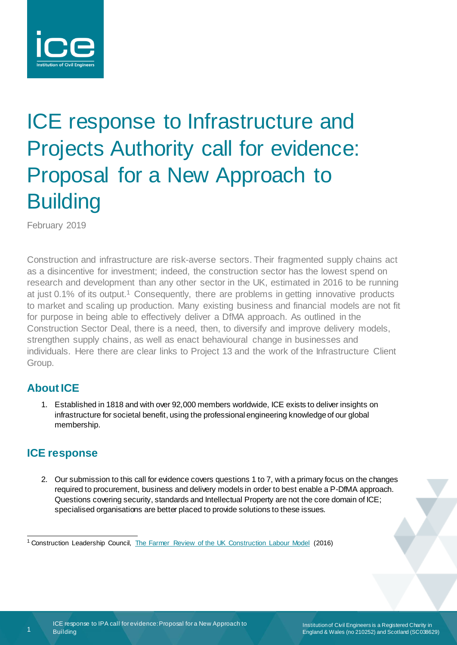

# ICE response to Infrastructure and Projects Authority call for evidence: Proposal for a New Approach to **Building**

February 2019

Construction and infrastructure are risk-averse sectors. Their fragmented supply chains act as a disincentive for investment; indeed, the construction sector has the lowest spend on research and development than any other sector in the UK, estimated in 2016 to be running at just 0.1% of its output.<sup>1</sup> Consequently, there are problems in getting innovative products to market and scaling up production. Many existing business and financial models are not fit for purpose in being able to effectively deliver a DfMA approach. As outlined in the Construction Sector Deal, there is a need, then, to diversify and improve delivery models, strengthen supply chains, as well as enact behavioural change in businesses and individuals. Here there are clear links to Project 13 and the work of the Infrastructure Client Group.

## **About ICE**

1. Established in 1818 and with over 92,000 members worldwide, ICE exists to deliver insights on infrastructure for societal benefit, using the professional engineering knowledge of our global membership.

# **ICE response**

2. Our submission to this call for evidence covers questions 1 to 7, with a primary focus on the changes required to procurement, business and delivery models in order to best enable a P-DfMA approach. Questions covering security, standards and Intellectual Property are not the core domain of ICE; specialised organisations are better placed to provide solutions to these issues.

-

<sup>&</sup>lt;sup>1</sup> Construction Leadership Council, [The Farmer Review of the UK Construction Labour Model](http://www.constructionleadershipcouncil.co.uk/wp-content/uploads/2016/10/Farmer-Review.pdf) (2016)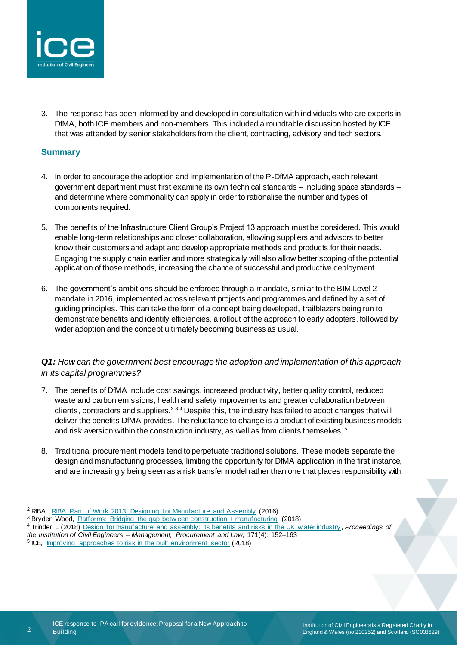

3. The response has been informed by and developed in consultation with individuals who are experts in DfMA, both ICE members and non-members. This included a roundtable discussion hosted by ICE that was attended by senior stakeholders from the client, contracting, advisory and tech sectors.

### **Summary**

- 4. In order to encourage the adoption and implementation of the P-DfMA approach, each relevant government department must first examine its own technical standards – including space standards – and determine where commonality can apply in order to rationalise the number and types of components required.
- 5. The benefits of the Infrastructure Client Group's Project 13 approach must be considered. This would enable long-term relationships and closer collaboration, allowing suppliers and advisors to better know their customers and adapt and develop appropriate methods and products for their needs. Engaging the supply chain earlier and more strategically will also allow better scoping of the potential application of those methods, increasing the chance of successful and productive deployment.
- 6. The government's ambitions should be enforced through a mandate, similar to the BIM Level 2 mandate in 2016, implemented across relevant projects and programmes and defined by a set of guiding principles. This can take the form of a concept being developed, trailblazers being run to demonstrate benefits and identify efficiencies, a rollout of the approach to early adopters, followed by wider adoption and the concept ultimately becoming business as usual.

## *Q1: How can the government best encourage the adoption and implementation of this approach in its capital programmes?*

- 7. The benefits of DfMA include cost savings, increased productivity, better quality control, reduced waste and carbon emissions, health and safety improvements and greater collaboration between clients, contractors and suppliers.<sup>234</sup> Despite this, the industry has failed to adopt changes that will deliver the benefits DfMA provides. The reluctance to change is a product of existing business models and risk aversion within the construction industry, as well as from clients themselves.<sup>5</sup>
- 8. Traditional procurement models tend to perpetuate traditional solutions. These models separate the design and manufacturing processes, limiting the opportunity for DfMA application in the first instance, and are increasingly being seen as a risk transfer model rather than one that places responsibility with

2

-

<sup>&</sup>lt;sup>2</sup> RIBA, [RIBA Plan of Work 2013: Designing for Manufacture and Assembly](https://www.architecture.com/-/media/gathercontent/riba-plan-of-work/additional-documents/ribaplanofworkdfmaoverlaypdf.pdf) (2016)

<sup>&</sup>lt;sup>3</sup> Bryden Wood, [Platforms: Bridging the gap betw een construction + manufacturing](https://www.cdbb.cam.ac.uk/Resources/ResoucePublications/2018Platforms_Bridgingthegapbetweenconstructionandmanufacturing.pdf) (2018)

<sup>4</sup> Trinder L (2018) [Design for manufacture and assembly: its benefits and risks in the UK w ater industry](https://www.icevirtuallibrary.com/doi/pdf/10.1680/jmapl.17.00021) , *Proceedings of the Institution of Civil Engineers – Management, Procurement and Law*, 171(4): 152–163

<sup>&</sup>lt;sup>5</sup> ICE, [Improving approaches to risk in](https://www.ice.org.uk/getattachment/news-and-insight/policy/improving-approaches-to-risk/Improving-approaches-to-risk.pdf.aspx#_ga=2.152610233.142513972.1549879209-1714938937.1528710932) the built environment sector (2018)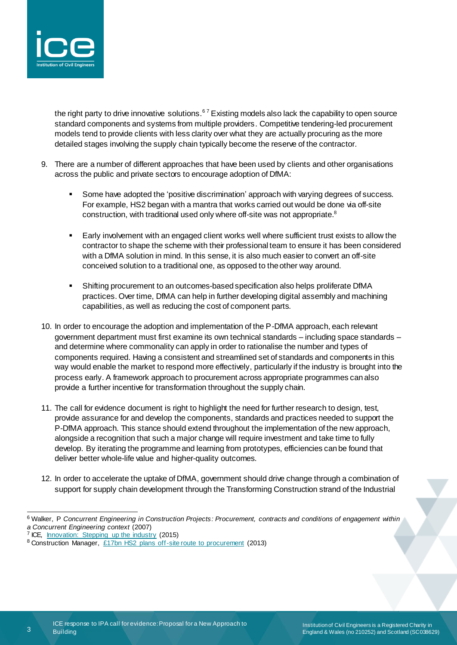

the right party to drive innovative solutions.<sup>67</sup> Existing models also lack the capability to open source standard components and systems from multiple providers. Competitive tendering-led procurement models tend to provide clients with less clarity over what they are actually procuring as the more detailed stages involving the supply chain typically become the reserve of the contractor.

- 9. There are a number of different approaches that have been used by clients and other organisations across the public and private sectors to encourage adoption of DfMA:
	- Some have adopted the 'positive discrimination' approach with varying degrees of success. For example, HS2 began with a mantra that works carried out would be done via off-site construction, with traditional used only where off-site was not appropriate.<sup>8</sup>
	- Early involvement with an engaged client works well where sufficient trust exists to allow the contractor to shape the scheme with their professional team to ensure it has been considered with a DfMA solution in mind. In this sense, it is also much easier to convert an off-site conceived solution to a traditional one, as opposed to the other way around.
	- Shifting procurement to an outcomes-based specification also helps proliferate DfMA practices. Over time, DfMA can help in further developing digital assembly and machining capabilities, as well as reducing the cost of component parts.
- 10. In order to encourage the adoption and implementation of the P-DfMA approach, each relevant government department must first examine its own technical standards – including space standards – and determine where commonality can apply in order to rationalise the number and types of components required. Having a consistent and streamlined set of standards and components in this way would enable the market to respond more effectively, particularly if the industry is brought into the process early. A framework approach to procurement across appropriate programmes can also provide a further incentive for transformation throughout the supply chain.
- 11. The call for evidence document is right to highlight the need for further research to design, test, provide assurance for and develop the components, standards and practices needed to support the P-DfMA approach. This stance should extend throughout the implementation of the new approach, alongside a recognition that such a major change will require investment and take time to fully develop. By iterating the programme and learning from prototypes, efficiencies can be found that deliver better whole-life value and higher-quality outcomes.
- 12. In order to accelerate the uptake of DfMA, government should drive change through a combination of support for supply chain development through the Transforming Construction strand of the Industrial

3

.

<sup>6</sup> Walker, P *Concurrent Engineering in Construction Projects: Procurement, contracts and conditions of engagement within a Concurrent Engineering context* (2007)

<sup>&</sup>lt;sup>7</sup> ICE, **Innovation:** Stepping up the industry (2015)

<sup>8</sup> Construction Manager, [£17bn HS2 plans off-site route to procurement](http://www.constructionmanagermagazine.com/news/17bn-hs2-project-plans-offsite-route-procurement/) (2013)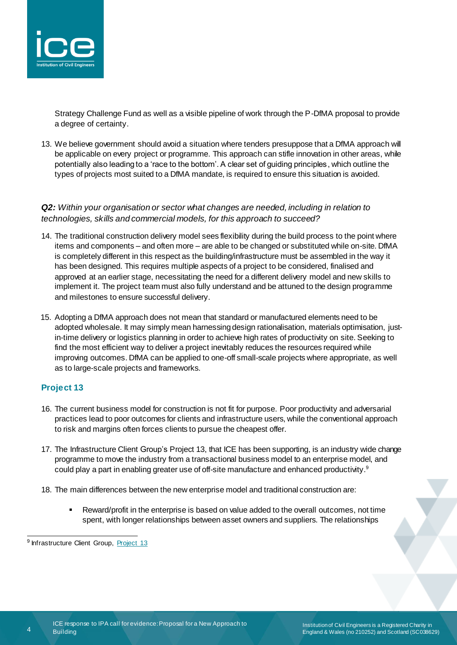

Strategy Challenge Fund as well as a visible pipeline of work through the P-DfMA proposal to provide a degree of certainty.

13. We believe government should avoid a situation where tenders presuppose that a DfMA approach will be applicable on every project or programme. This approach can stifle innovation in other areas, while potentially also leading to a 'race to the bottom'. A clear set of guiding principles, which outline the types of projects most suited to a DfMA mandate, is required to ensure this situation is avoided.

### *Q2: Within your organisation or sector what changes are needed, including in relation to technologies, skills and commercial models, for this approach to succeed?*

- 14. The traditional construction delivery model sees flexibility during the build process to the point where items and components – and often more – are able to be changed or substituted while on-site. DfMA is completely different in this respect as the building/infrastructure must be assembled in the way it has been designed. This requires multiple aspects of a project to be considered, finalised and approved at an earlier stage, necessitating the need for a different delivery model and new skills to implement it. The project team must also fully understand and be attuned to the design programme and milestones to ensure successful delivery.
- 15. Adopting a DfMA approach does not mean that standard or manufactured elements need to be adopted wholesale. It may simply mean harnessing design rationalisation, materials optimisation, justin-time delivery or logistics planning in order to achieve high rates of productivity on site. Seeking to find the most efficient way to deliver a project inevitably reduces the resources required while improving outcomes. DfMA can be applied to one-off small-scale projects where appropriate, as well as to large-scale projects and frameworks.

## **Project 13**

- 16. The current business model for construction is not fit for purpose. Poor productivity and adversarial practices lead to poor outcomes for clients and infrastructure users, while the conventional approach to risk and margins often forces clients to pursue the cheapest offer.
- 17. The Infrastructure Client Group's Project 13, that ICE has been supporting, is an industry wide change programme to move the industry from a transactional business model to an enterprise model, and could play a part in enabling greater use of off-site manufacture and enhanced productivity.<sup>9</sup>
- 18. The main differences between the new enterprise model and traditional construction are:
	- Reward/profit in the enterprise is based on value added to the overall outcomes, not time spent, with longer relationships between asset owners and suppliers. The relationships

4

**Manuel Client Group, [Project 13](http://www.p13.org.uk/)**<br><sup>9</sup> Infrastructure Client Group, Project 13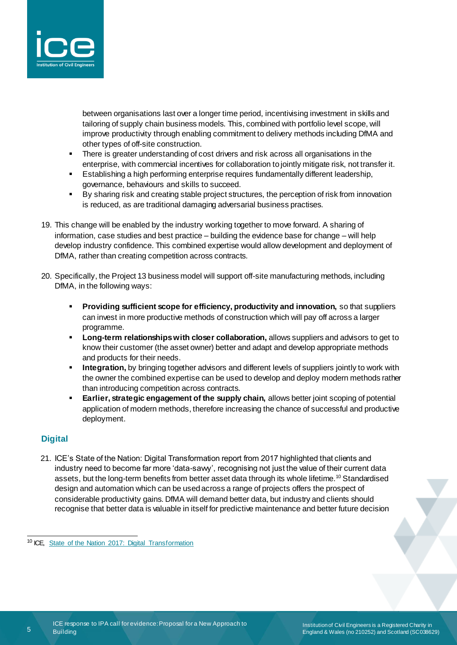

between organisations last over a longer time period, incentivising investment in skills and tailoring of supply chain business models. This, combined with portfolio level scope, will improve productivity through enabling commitment to delivery methods including DfMA and other types of off-site construction.

- There is greater understanding of cost drivers and risk across all organisations in the enterprise, with commercial incentives for collaboration to jointly mitigate risk, not transfer it.
- **E** Establishing a high performing enterprise requires fundamentally different leadership, governance, behaviours and skills to succeed.
- By sharing risk and creating stable project structures, the perception of risk from innovation is reduced, as are traditional damaging adversarial business practises.
- 19. This change will be enabled by the industry working together to move forward. A sharing of information, case studies and best practice – building the evidence base for change – will help develop industry confidence. This combined expertise would allow development and deployment of DfMA, rather than creating competition across contracts.
- 20. Specifically, the Project 13 business model will support off-site manufacturing methods, including DfMA, in the following ways:
	- **Providing sufficient scope for efficiency, productivity and innovation, so that suppliers** can invest in more productive methods of construction which will pay off across a larger programme.
	- **Long-term relationships with closer collaboration,** allows suppliers and advisors to get to know their customer (the asset owner) better and adapt and develop appropriate methods and products for their needs.
	- Integration, by bringing together advisors and different levels of suppliers jointly to work with the owner the combined expertise can be used to develop and deploy modern methods rather than introducing competition across contracts.
	- **Earlier, strategic engagement of the supply chain, allows better joint scoping of potential** application of modern methods, therefore increasing the chance of successful and productive deployment.

## **Digital**

5

-

21. ICE's State of the Nation: Digital Transformation report from 2017 highlighted that clients and industry need to become far more 'data-savvy', recognising not just the value of their current data assets, but the long-term benefits from better asset data through its whole lifetime.<sup>10</sup> Standardised design and automation which can be used across a range of projects offers the prospect of considerable productivity gains. DfMA will demand better data, but industry and clients should recognise that better data is valuable in itself for predictive maintenance and better future decision

<sup>&</sup>lt;sup>10</sup> ICE, [State of the Nation 2017: Digital Transformation](https://www.ice.org.uk/news-and-insight/policy/state-of-the-nation-2017-digital-transformation)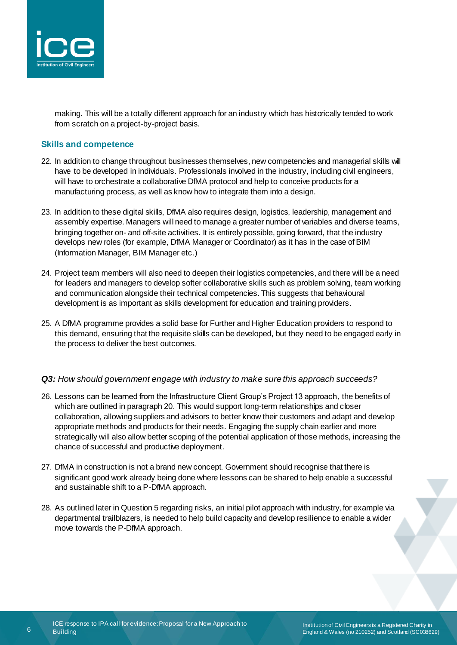

making. This will be a totally different approach for an industry which has historically tended to work from scratch on a project-by-project basis.

#### **Skills and competence**

- 22. In addition to change throughout businesses themselves, new competencies and managerial skills will have to be developed in individuals. Professionals involved in the industry, including civil engineers, will have to orchestrate a collaborative DfMA protocol and help to conceive products for a manufacturing process, as well as know how to integrate them into a design.
- 23. In addition to these digital skills, DfMA also requires design, logistics, leadership, management and assembly expertise. Managers will need to manage a greater number of variables and diverse teams, bringing together on- and off-site activities. It is entirely possible, going forward, that the industry develops new roles (for example, DfMA Manager or Coordinator) as it has in the case of BIM (Information Manager, BIM Manager etc.)
- 24. Project team members will also need to deepen their logistics competencies, and there will be a need for leaders and managers to develop softer collaborative skills such as problem solving, team working and communication alongside their technical competencies. This suggests that behavioural development is as important as skills development for education and training providers.
- 25. A DfMA programme provides a solid base for Further and Higher Education providers to respond to this demand, ensuring that the requisite skills can be developed, but they need to be engaged early in the process to deliver the best outcomes.

#### *Q3: How should government engage with industry to make sure this approach succeeds?*

- 26. Lessons can be learned from the Infrastructure Client Group's Project 13 approach, the benefits of which are outlined in paragraph 20. This would support long-term relationships and closer collaboration, allowing suppliers and advisors to better know their customers and adapt and develop appropriate methods and products for their needs. Engaging the supply chain earlier and more strategically will also allow better scoping of the potential application of those methods, increasing the chance of successful and productive deployment.
- 27. DfMA in construction is not a brand new concept. Government should recognise that there is significant good work already being done where lessons can be shared to help enable a successful and sustainable shift to a P-DfMA approach.
- 28. As outlined later in Question 5 regarding risks, an initial pilot approach with industry, for example via departmental trailblazers, is needed to help build capacity and develop resilience to enable a wider move towards the P-DfMA approach.

6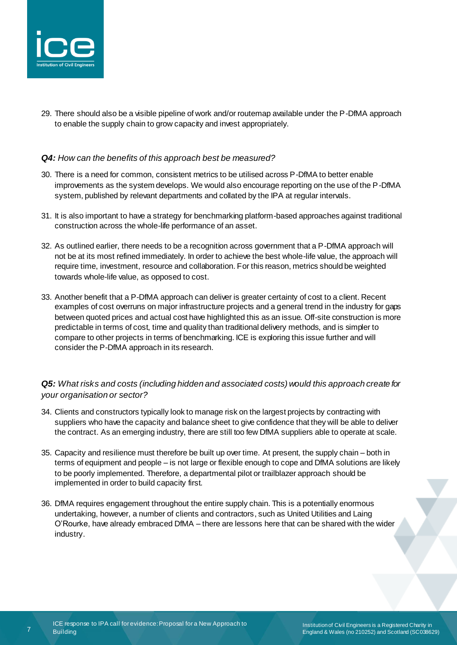

29. There should also be a visible pipeline of work and/or routemap available under the P-DfMA approach to enable the supply chain to grow capacity and invest appropriately.

#### *Q4: How can the benefits of this approach best be measured?*

- 30. There is a need for common, consistent metrics to be utilised across P-DfMA to better enable improvements as the system develops. We would also encourage reporting on the use of the P-DfMA system, published by relevant departments and collated by the IPA at regular intervals.
- 31. It is also important to have a strategy for benchmarking platform-based approaches against traditional construction across the whole-life performance of an asset.
- 32. As outlined earlier, there needs to be a recognition across government that a P-DfMA approach will not be at its most refined immediately. In order to achieve the best whole-life value, the approach will require time, investment, resource and collaboration. For this reason, metrics should be weighted towards whole-life value, as opposed to cost.
- 33. Another benefit that a P-DfMA approach can deliver is greater certainty of cost to a client. Recent examples of cost overruns on major infrastructure projects and a general trend in the industry for gaps between quoted prices and actual cost have highlighted this as an issue. Off-site construction is more predictable in terms of cost, time and quality than traditional delivery methods, and is simpler to compare to other projects in terms of benchmarking. ICE is exploring this issue further and will consider the P-DfMA approach in its research.

## *Q5: What risks and costs (including hidden and associated costs) would this approach create for your organisation or sector?*

- 34. Clients and constructors typically look to manage risk on the largest projects by contracting with suppliers who have the capacity and balance sheet to give confidence that they will be able to deliver the contract. As an emerging industry, there are still too few DfMA suppliers able to operate at scale.
- 35. Capacity and resilience must therefore be built up over time. At present, the supply chain both in terms of equipment and people – is not large or flexible enough to cope and DfMA solutions are likely to be poorly implemented. Therefore, a departmental pilot or trailblazer approach should be implemented in order to build capacity first.
- 36. DfMA requires engagement throughout the entire supply chain. This is a potentially enormous undertaking, however, a number of clients and contractors, such as United Utilities and Laing O'Rourke, have already embraced DfMA – there are lessons here that can be shared with the wider industry.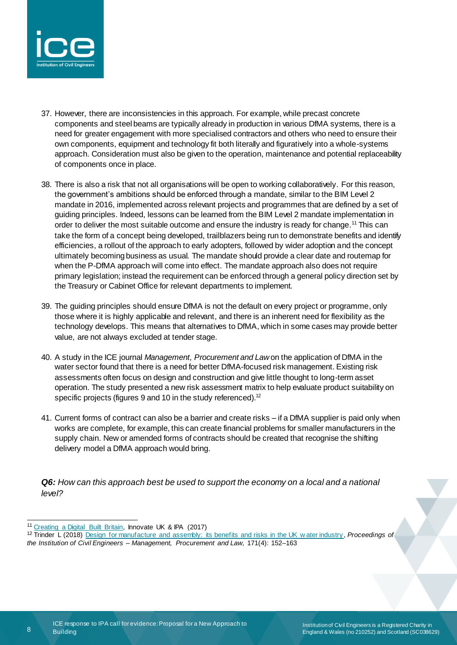

- 37. However, there are inconsistencies in this approach. For example, while precast concrete components and steel beams are typically already in production in various DfMA systems, there is a need for greater engagement with more specialised contractors and others who need to ensure their own components, equipment and technology fit both literally and figuratively into a whole-systems approach. Consideration must also be given to the operation, maintenance and potential replaceability of components once in place.
- 38. There is also a risk that not all organisations will be open to working collaboratively. For this reason, the government's ambitions should be enforced through a mandate, similar to the BIM Level 2 mandate in 2016, implemented across relevant projects and programmes that are defined by a set of guiding principles. Indeed, lessons can be learned from the BIM Level 2 mandate implementation in order to deliver the most suitable outcome and ensure the industry is ready for change.<sup>11</sup> This can take the form of a concept being developed, trailblazers being run to demonstrate benefits and identify efficiencies, a rollout of the approach to early adopters, followed by wider adoption and the concept ultimately becoming business as usual. The mandate should provide a clear date and routemap for when the P-DfMA approach will come into effect. The mandate approach also does not require primary legislation; instead the requirement can be enforced through a general policy direction set by the Treasury or Cabinet Office for relevant departments to implement.
- 39. The guiding principles should ensure DfMA is not the default on every project or programme, only those where it is highly applicable and relevant, and there is an inherent need for flexibility as the technology develops. This means that alternatives to DfMA, which in some cases may provide better value, are not always excluded at tender stage.
- 40. A study in the ICE journal *Management, Procurement and Law* on the application of DfMA in the water sector found that there is a need for better DfMA-focused risk management. Existing risk assessments often focus on design and construction and give little thought to long-term asset operation. The study presented a new risk assessment matrix to help evaluate product suitability on specific projects (figures 9 and 10 in the study referenced).<sup>12</sup>
- 41. Current forms of contract can also be a barrier and create risks if a DfMA supplier is paid only when works are complete, for example, this can create financial problems for smaller manufacturers in the supply chain. New or amended forms of contracts should be created that recognise the shifting delivery model a DfMA approach would bring.

*Q6: How can this approach best be used to support the economy on a local and a national level?*

8

.

<sup>11</sup> [Creating a Digital Built Britain,](https://www.gov.uk/guidance/creating-a-digital-built-britain-what-you-need-to-know) Innovate UK & IPA (2017)

<sup>12</sup> Trinder L (2018) [Design for manufacture and assembly: its benefits and risks in the UK w ater industry](https://www.icevirtuallibrary.com/doi/pdf/10.1680/jmapl.17.00021) , *Proceedings of*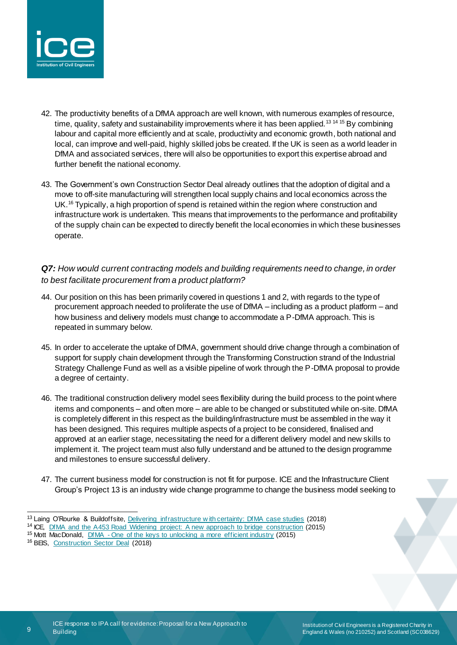

- 42. The productivity benefits of a DfMA approach are well known, with numerous examples of resource, time, quality, safety and sustainability improvements where it has been applied.<sup>13 14 15</sup> By combining labour and capital more efficiently and at scale, productivity and economic growth, both national and local, can improve and well-paid, highly skilled jobs be created. If the UK is seen as a world leader in DfMA and associated services, there will also be opportunities to export this expertise abroad and further benefit the national economy.
- 43. The Government's own Construction Sector Deal already outlines that the adoption of digital and a move to off-site manufacturing will strengthen local supply chains and local economics across the UK.<sup>16</sup> Typically, a high proportion of spend is retained within the region where construction and infrastructure work is undertaken. This means that improvements to the performance and profitability of the supply chain can be expected to directly benefit the local economies in which these businesses operate.

## *Q7: How would current contracting models and building requirements need to change, in order to best facilitate procurement from a product platform?*

- 44. Our position on this has been primarily covered in questions 1 and 2, with regards to the type of procurement approach needed to proliferate the use of DfMA – including as a product platform – and how business and delivery models must change to accommodate a P-DfMA approach. This is repeated in summary below.
- 45. In order to accelerate the uptake of DfMA, government should drive change through a combination of support for supply chain development through the Transforming Construction strand of the Industrial Strategy Challenge Fund as well as a visible pipeline of work through the P-DfMA proposal to provide a degree of certainty.
- 46. The traditional construction delivery model sees flexibility during the build process to the point where items and components – and often more – are able to be changed or substituted while on-site. DfMA is completely different in this respect as the building/infrastructure must be assembled in the way it has been designed. This requires multiple aspects of a project to be considered, finalised and approved at an earlier stage, necessitating the need for a different delivery model and new skills to implement it. The project team must also fully understand and be attuned to the design programme and milestones to ensure successful delivery.
- 47. The current business model for construction is not fit for purpose. ICE and the Infrastructure Client Group's Project 13 is an industry wide change programme to change the business model seeking to

<sup>16</sup> BEIS, [Construction Sector Deal](https://www.gov.uk/government/publications/construction-sector-deal) (2018)

.

<sup>13</sup> Laing O'Rourke & Buildoffsite, [Delivering infrastructure w ith certainty: DfMA case studies](https://www.buildoffsite.com/content/uploads/2018/07/Crossrail-Case-Studies-presentation.pdf) (2018)

<sup>14</sup> ICE, [DfMA and the A453 Road Widening project: A new approach to bridge construction](https://www.ice.org.uk/knowledge-and-resources/case-studies/dfma-a453-road-widening-new-approach-bridge) (2015)

<sup>&</sup>lt;sup>15</sup> Mott MacDonald, DfMA - [One of the keys to unlocking a more efficient industry](https://www.mottmac.com/views/dfma---the-key-to-a-more-efficient-industry) (2015)